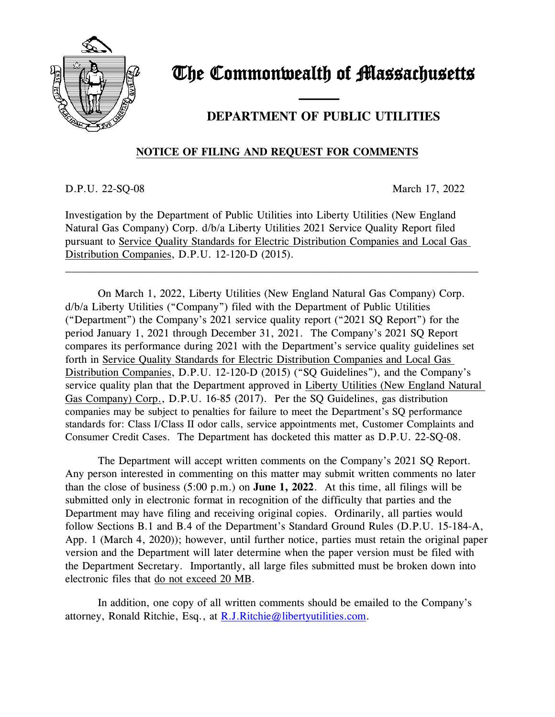

## The Commonwealth of Massachusetts

## —— **DEPARTMENT OF PUBLIC UTILITIES**

## **NOTICE OF FILING AND REQUEST FOR COMMENTS**

D.P.U. 22-SQ-08 March 17, 2022

Investigation by the Department of Public Utilities into Liberty Utilities (New England Natural Gas Company) Corp. d/b/a Liberty Utilities 2021 Service Quality Report filed pursuant to Service Quality Standards for Electric Distribution Companies and Local Gas Distribution Companies, D.P.U. 12-120-D (2015).

\_\_\_\_\_\_\_\_\_\_\_\_\_\_\_\_\_\_\_\_\_\_\_\_\_\_\_\_\_\_\_\_\_\_\_\_\_\_\_\_\_\_\_\_\_\_\_\_\_\_\_\_\_\_\_\_\_\_\_\_\_\_\_\_\_\_\_\_\_\_\_\_\_\_\_\_

On March 1, 2022, Liberty Utilities (New England Natural Gas Company) Corp. d/b/a Liberty Utilities ("Company") filed with the Department of Public Utilities ("Department") the Company's 2021 service quality report ("2021 SQ Report") for the period January 1, 2021 through December 31, 2021. The Company's 2021 SQ Report compares its performance during 2021 with the Department's service quality guidelines set forth in Service Quality Standards for Electric Distribution Companies and Local Gas Distribution Companies, D.P.U. 12-120-D (2015) ("SQ Guidelines"), and the Company's service quality plan that the Department approved in Liberty Utilities (New England Natural Gas Company) Corp., D.P.U. 16-85 (2017). Per the SQ Guidelines, gas distribution companies may be subject to penalties for failure to meet the Department's SQ performance standards for: Class I/Class II odor calls, service appointments met, Customer Complaints and Consumer Credit Cases. The Department has docketed this matter as D.P.U. 22-SQ-08.

The Department will accept written comments on the Company's 2021 SQ Report. Any person interested in commenting on this matter may submit written comments no later than the close of business (5:00 p.m.) on **June 1, 2022**. At this time, all filings will be submitted only in electronic format in recognition of the difficulty that parties and the Department may have filing and receiving original copies. Ordinarily, all parties would follow Sections B.1 and B.4 of the Department's Standard Ground Rules (D.P.U. 15-184-A, App. 1 (March 4, 2020)); however, until further notice, parties must retain the original paper version and the Department will later determine when the paper version must be filed with the Department Secretary. Importantly, all large files submitted must be broken down into electronic files that do not exceed 20 MB.

In addition, one copy of all written comments should be emailed to the Company's attorney, Ronald Ritchie, Esq., at [R.J.Ritchie@libertyutilities.com.](mailto:R.J.Ritchie@libertyutilities.com)